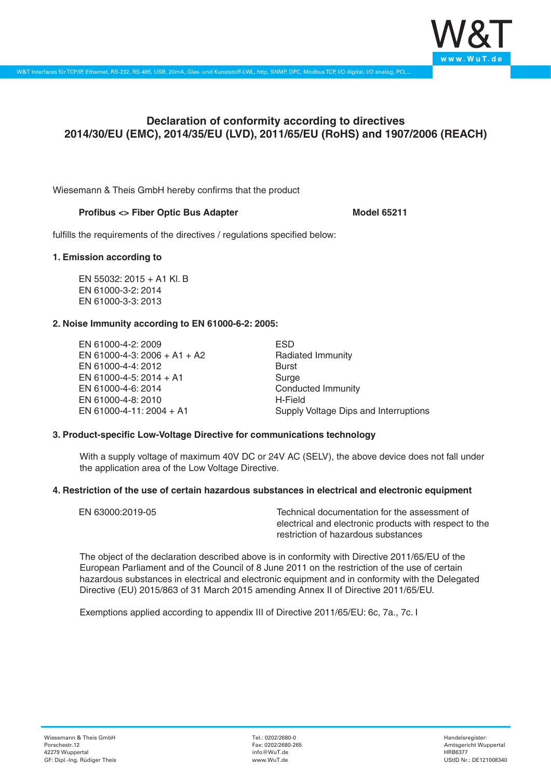

# **Declaration of conformity according to directives 2014/30/EU (EMC), 2014/35/EU (LVD), 2011/65/EU (RoHS) and 1907/2006 (REACH)**

Wiesemann & Theis GmbH hereby confirms that the product

### **Profibus <> Fiber Optic Bus Adapter Model 65211**

fulfills the requirements of the directives / regulations specified below:

#### **1. Emission according to**

EN 55032: 2015 + A1 Kl. B EN 61000-3-2: 2014 EN 61000-3-3: 2013

# **2. Noise Immunity according to EN 61000-6-2: 2005:**

EN 61000-4-2: 2009 EN 61000-4-3: 2006 + A1 + A2 EN 61000-4-4: 2012 EN 61000-4-5: 2014 + A1 EN 61000-4-6: 2014 EN 61000-4-8: 2010 EN 61000-4-11: 2004 + A1

ESD Radiated Immunity Burst Surge Conducted Immunity H-Field Supply Voltage Dips and Interruptions

# **3. Product-specific Low-Voltage Directive for communications technology**

With a supply voltage of maximum 40V DC or 24V AC (SELV), the above device does not fall under the application area of the Low Voltage Directive.

# **4. Restriction of the use of certain hazardous substances in electrical and electronic equipment**

| EN 63000:2019-05 | Technical documentation for the assessment of          |
|------------------|--------------------------------------------------------|
|                  | electrical and electronic products with respect to the |
|                  | restriction of hazardous substances                    |

The object of the declaration described above is in conformity with Directive 2011/65/EU of the European Parliament and of the Council of 8 June 2011 on the restriction of the use of certain hazardous substances in electrical and electronic equipment and in conformity with the Delegated Directive (EU) 2015/863 of 31 March 2015 amending Annex II of Directive 2011/65/EU.

Exemptions applied according to appendix III of Directive 2011/65/EU: 6c, 7a., 7c. I